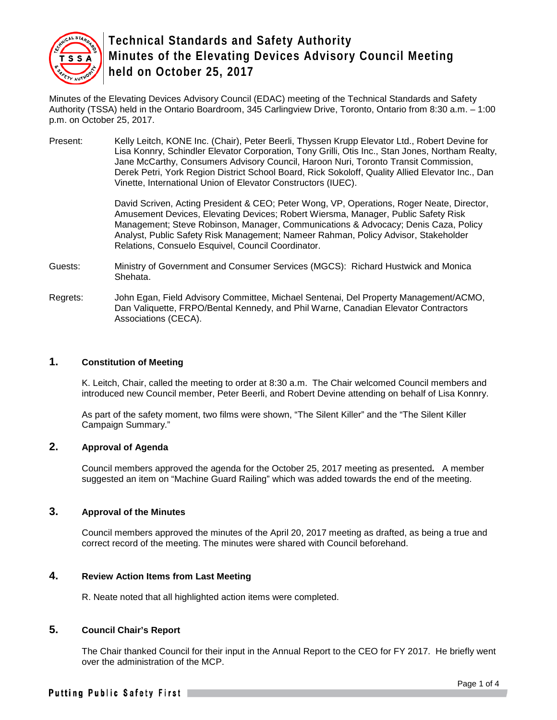

Minutes of the Elevating Devices Advisory Council (EDAC) meeting of the Technical Standards and Safety Authority (TSSA) held in the Ontario Boardroom, 345 Carlingview Drive, Toronto, Ontario from 8:30 a.m. – 1:00 p.m. on October 25, 2017.

Present: Kelly Leitch, KONE Inc. (Chair), Peter Beerli, Thyssen Krupp Elevator Ltd., Robert Devine for Lisa Konnry, Schindler Elevator Corporation, Tony Grilli, Otis Inc., Stan Jones, Northam Realty, Jane McCarthy, Consumers Advisory Council, Haroon Nuri, Toronto Transit Commission, Derek Petri, York Region District School Board, Rick Sokoloff, Quality Allied Elevator Inc., Dan Vinette, International Union of Elevator Constructors (IUEC).

> David Scriven, Acting President & CEO; Peter Wong, VP, Operations, Roger Neate, Director, Amusement Devices, Elevating Devices; Robert Wiersma, Manager, Public Safety Risk Management; Steve Robinson, Manager, Communications & Advocacy; Denis Caza, Policy Analyst, Public Safety Risk Management; Nameer Rahman, Policy Advisor, Stakeholder Relations, Consuelo Esquivel, Council Coordinator.

- Guests: Ministry of Government and Consumer Services (MGCS): Richard Hustwick and Monica Shehata.
- Regrets: John Egan, Field Advisory Committee, Michael Sentenai, Del Property Management/ACMO, Dan Valiquette, FRPO/Bental Kennedy, and Phil Warne, Canadian Elevator Contractors Associations (CECA).

## **1. Constitution of Meeting**

K. Leitch, Chair, called the meeting to order at 8:30 a.m. The Chair welcomed Council members and introduced new Council member, Peter Beerli, and Robert Devine attending on behalf of Lisa Konnry.

As part of the safety moment, two films were shown, "The Silent Killer" and the "The Silent Killer Campaign Summary."

# **2. Approval of Agenda**

Council members approved the agenda for the October 25, 2017 meeting as presented**.** A member suggested an item on "Machine Guard Railing" which was added towards the end of the meeting.

#### **3. Approval of the Minutes**

Council members approved the minutes of the April 20, 2017 meeting as drafted, as being a true and correct record of the meeting. The minutes were shared with Council beforehand.

#### **4. Review Action Items from Last Meeting**

R. Neate noted that all highlighted action items were completed.

# **5. Council Chair's Report**

The Chair thanked Council for their input in the Annual Report to the CEO for FY 2017. He briefly went over the administration of the MCP.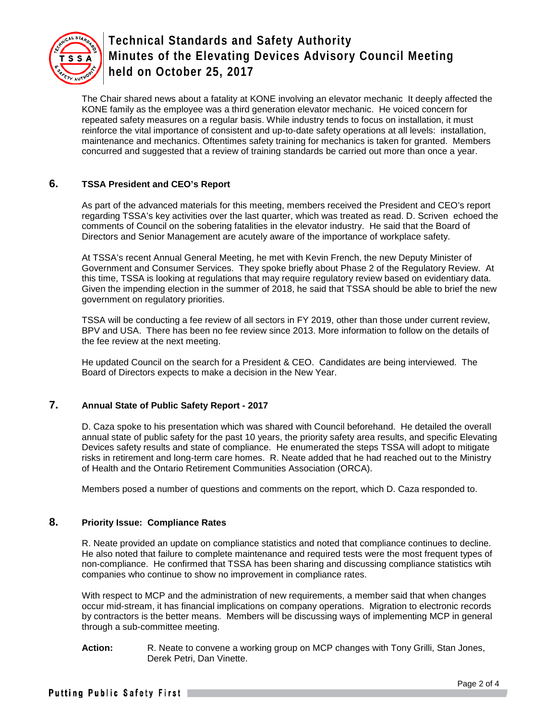

The Chair shared news about a fatality at KONE involving an elevator mechanic It deeply affected the KONE family as the employee was a third generation elevator mechanic. He voiced concern for repeated safety measures on a regular basis. While industry tends to focus on installation, it must reinforce the vital importance of consistent and up-to-date safety operations at all levels: installation, maintenance and mechanics. Oftentimes safety training for mechanics is taken for granted. Members concurred and suggested that a review of training standards be carried out more than once a year.

# **6. TSSA President and CEO's Report**

As part of the advanced materials for this meeting, members received the President and CEO's report regarding TSSA's key activities over the last quarter, which was treated as read. D. Scriven echoed the comments of Council on the sobering fatalities in the elevator industry. He said that the Board of Directors and Senior Management are acutely aware of the importance of workplace safety.

At TSSA's recent Annual General Meeting, he met with Kevin French, the new Deputy Minister of Government and Consumer Services. They spoke briefly about Phase 2 of the Regulatory Review. At this time, TSSA is looking at regulations that may require regulatory review based on evidentiary data. Given the impending election in the summer of 2018, he said that TSSA should be able to brief the new government on regulatory priorities.

TSSA will be conducting a fee review of all sectors in FY 2019, other than those under current review, BPV and USA. There has been no fee review since 2013. More information to follow on the details of the fee review at the next meeting.

He updated Council on the search for a President & CEO. Candidates are being interviewed. The Board of Directors expects to make a decision in the New Year.

#### **7. Annual State of Public Safety Report - 2017**

D. Caza spoke to his presentation which was shared with Council beforehand. He detailed the overall annual state of public safety for the past 10 years, the priority safety area results, and specific Elevating Devices safety results and state of compliance. He enumerated the steps TSSA will adopt to mitigate risks in retirement and long-term care homes. R. Neate added that he had reached out to the Ministry of Health and the Ontario Retirement Communities Association (ORCA).

Members posed a number of questions and comments on the report, which D. Caza responded to.

#### **8. Priority Issue: Compliance Rates**

R. Neate provided an update on compliance statistics and noted that compliance continues to decline. He also noted that failure to complete maintenance and required tests were the most frequent types of non-compliance. He confirmed that TSSA has been sharing and discussing compliance statistics wtih companies who continue to show no improvement in compliance rates.

With respect to MCP and the administration of new requirements, a member said that when changes occur mid-stream, it has financial implications on company operations. Migration to electronic records by contractors is the better means. Members will be discussing ways of implementing MCP in general through a sub-committee meeting.

**Action:** R. Neate to convene a working group on MCP changes with Tony Grilli, Stan Jones, Derek Petri, Dan Vinette.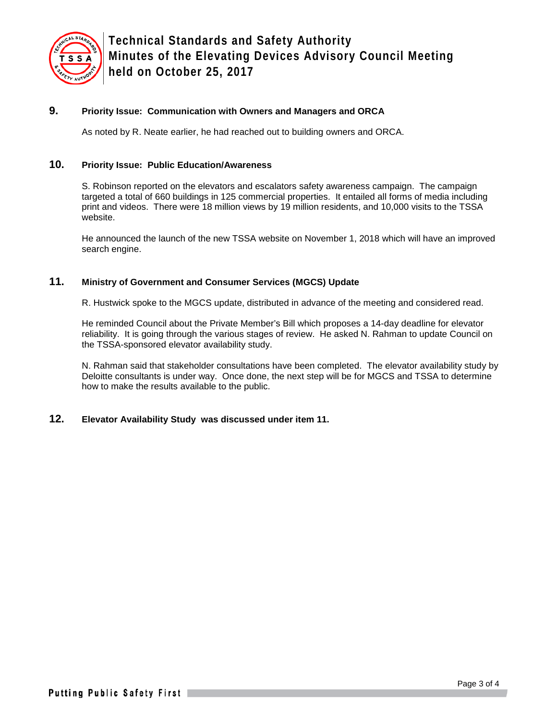

# **9. Priority Issue: Communication with Owners and Managers and ORCA**

As noted by R. Neate earlier, he had reached out to building owners and ORCA.

# **10. Priority Issue: Public Education/Awareness**

S. Robinson reported on the elevators and escalators safety awareness campaign. The campaign targeted a total of 660 buildings in 125 commercial properties. It entailed all forms of media including print and videos. There were 18 million views by 19 million residents, and 10,000 visits to the TSSA website.

He announced the launch of the new TSSA website on November 1, 2018 which will have an improved search engine.

## **11. Ministry of Government and Consumer Services (MGCS) Update**

R. Hustwick spoke to the MGCS update, distributed in advance of the meeting and considered read.

He reminded Council about the Private Member's Bill which proposes a 14-day deadline for elevator reliability. It is going through the various stages of review. He asked N. Rahman to update Council on the TSSA-sponsored elevator availability study.

N. Rahman said that stakeholder consultations have been completed. The elevator availability study by Deloitte consultants is under way. Once done, the next step will be for MGCS and TSSA to determine how to make the results available to the public.

#### **12. Elevator Availability Study was discussed under item 11.**